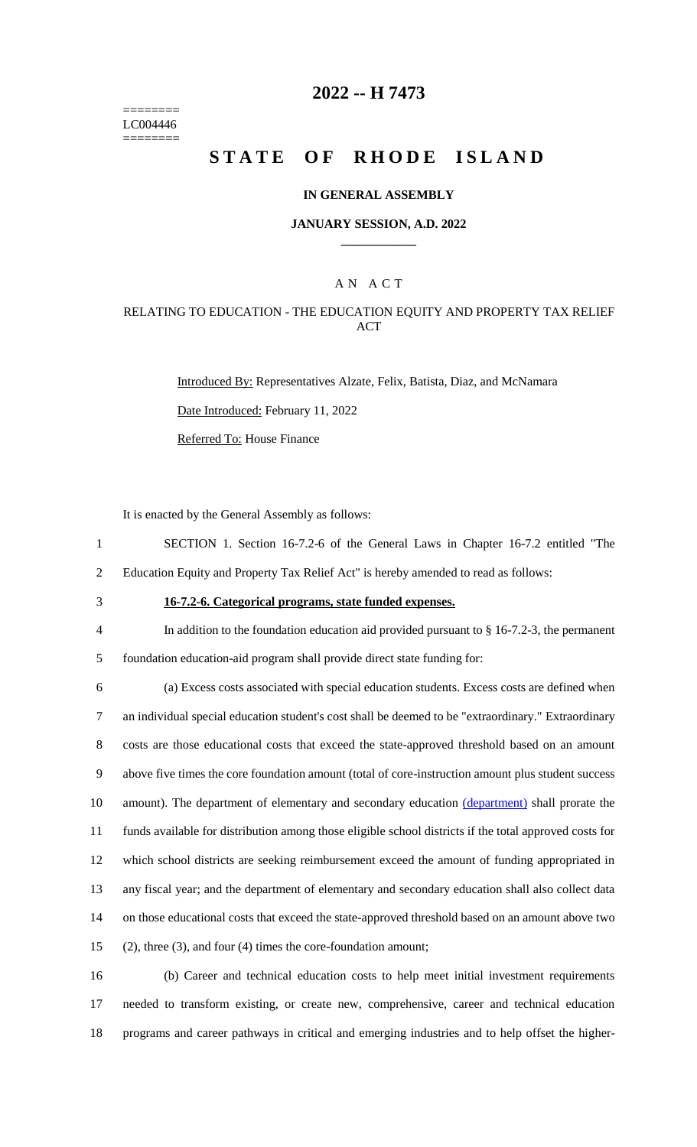======== LC004446 ========

## **2022 -- H 7473**

# **STATE OF RHODE ISLAND**

### **IN GENERAL ASSEMBLY**

### **JANUARY SESSION, A.D. 2022 \_\_\_\_\_\_\_\_\_\_\_\_**

### A N A C T

### RELATING TO EDUCATION - THE EDUCATION EQUITY AND PROPERTY TAX RELIEF ACT

Introduced By: Representatives Alzate, Felix, Batista, Diaz, and McNamara

Date Introduced: February 11, 2022

Referred To: House Finance

It is enacted by the General Assembly as follows:

- 1 SECTION 1. Section 16-7.2-6 of the General Laws in Chapter 16-7.2 entitled "The
- 2 Education Equity and Property Tax Relief Act" is hereby amended to read as follows:
- 

# 3 **16-7.2-6. Categorical programs, state funded expenses.**

4 In addition to the foundation education aid provided pursuant to § 16-7.2-3, the permanent

5 foundation education-aid program shall provide direct state funding for:

 (a) Excess costs associated with special education students. Excess costs are defined when an individual special education student's cost shall be deemed to be "extraordinary." Extraordinary costs are those educational costs that exceed the state-approved threshold based on an amount above five times the core foundation amount (total of core-instruction amount plus student success 10 amount). The department of elementary and secondary education (department) shall prorate the funds available for distribution among those eligible school districts if the total approved costs for which school districts are seeking reimbursement exceed the amount of funding appropriated in any fiscal year; and the department of elementary and secondary education shall also collect data on those educational costs that exceed the state-approved threshold based on an amount above two (2), three (3), and four (4) times the core-foundation amount;

16 (b) Career and technical education costs to help meet initial investment requirements 17 needed to transform existing, or create new, comprehensive, career and technical education 18 programs and career pathways in critical and emerging industries and to help offset the higher-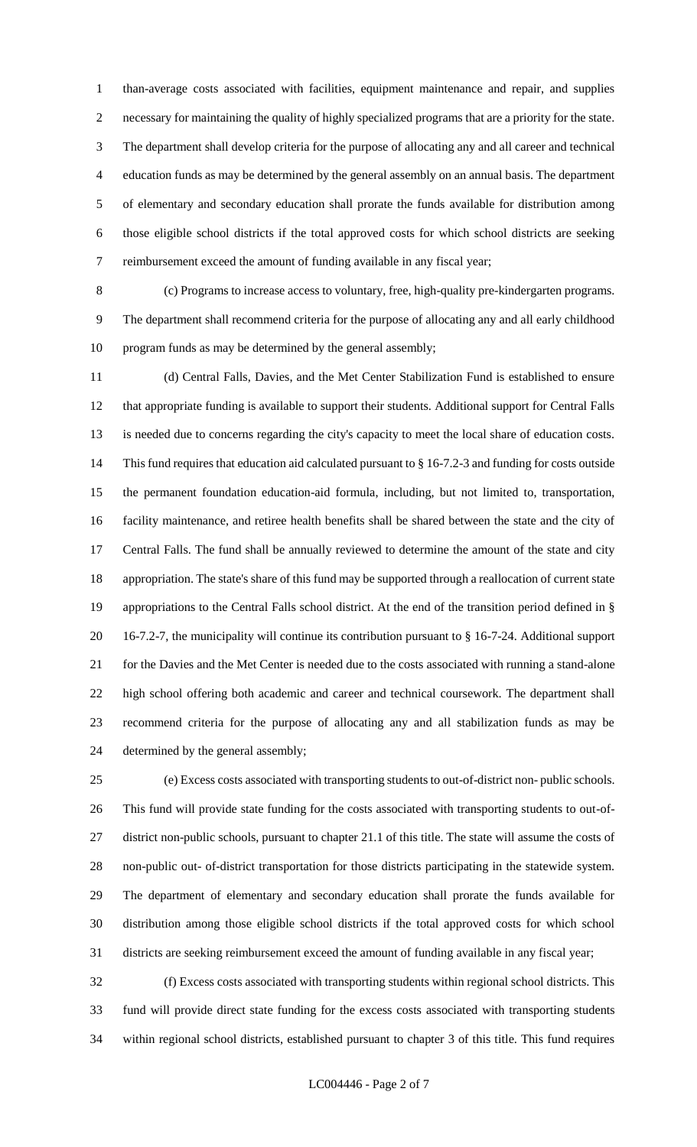than-average costs associated with facilities, equipment maintenance and repair, and supplies necessary for maintaining the quality of highly specialized programs that are a priority for the state. The department shall develop criteria for the purpose of allocating any and all career and technical education funds as may be determined by the general assembly on an annual basis. The department of elementary and secondary education shall prorate the funds available for distribution among those eligible school districts if the total approved costs for which school districts are seeking reimbursement exceed the amount of funding available in any fiscal year;

 (c) Programs to increase access to voluntary, free, high-quality pre-kindergarten programs. The department shall recommend criteria for the purpose of allocating any and all early childhood program funds as may be determined by the general assembly;

 (d) Central Falls, Davies, and the Met Center Stabilization Fund is established to ensure that appropriate funding is available to support their students. Additional support for Central Falls is needed due to concerns regarding the city's capacity to meet the local share of education costs. This fund requires that education aid calculated pursuant to § 16-7.2-3 and funding for costs outside the permanent foundation education-aid formula, including, but not limited to, transportation, facility maintenance, and retiree health benefits shall be shared between the state and the city of Central Falls. The fund shall be annually reviewed to determine the amount of the state and city appropriation. The state's share of this fund may be supported through a reallocation of current state appropriations to the Central Falls school district. At the end of the transition period defined in § 16-7.2-7, the municipality will continue its contribution pursuant to § 16-7-24. Additional support for the Davies and the Met Center is needed due to the costs associated with running a stand-alone high school offering both academic and career and technical coursework. The department shall recommend criteria for the purpose of allocating any and all stabilization funds as may be determined by the general assembly;

 (e) Excess costs associated with transporting students to out-of-district non- public schools. This fund will provide state funding for the costs associated with transporting students to out-of- district non-public schools, pursuant to chapter 21.1 of this title. The state will assume the costs of non-public out- of-district transportation for those districts participating in the statewide system. The department of elementary and secondary education shall prorate the funds available for distribution among those eligible school districts if the total approved costs for which school districts are seeking reimbursement exceed the amount of funding available in any fiscal year;

 (f) Excess costs associated with transporting students within regional school districts. This fund will provide direct state funding for the excess costs associated with transporting students within regional school districts, established pursuant to chapter 3 of this title. This fund requires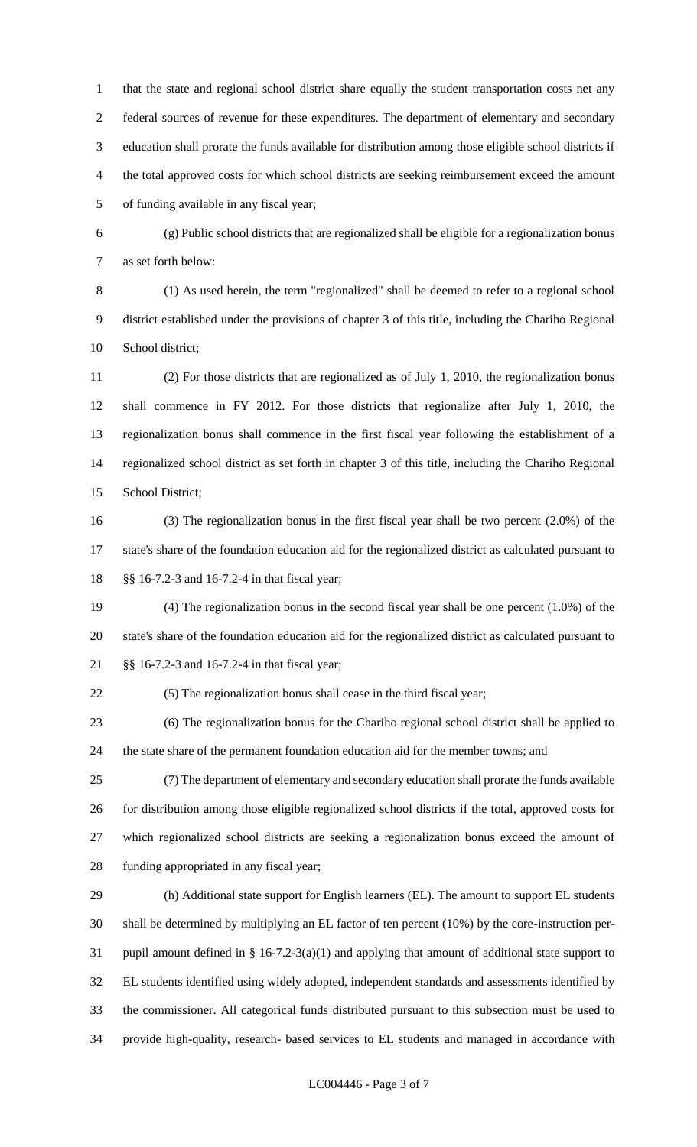that the state and regional school district share equally the student transportation costs net any federal sources of revenue for these expenditures. The department of elementary and secondary education shall prorate the funds available for distribution among those eligible school districts if the total approved costs for which school districts are seeking reimbursement exceed the amount of funding available in any fiscal year;

 (g) Public school districts that are regionalized shall be eligible for a regionalization bonus as set forth below:

 (1) As used herein, the term "regionalized" shall be deemed to refer to a regional school district established under the provisions of chapter 3 of this title, including the Chariho Regional School district;

 (2) For those districts that are regionalized as of July 1, 2010, the regionalization bonus shall commence in FY 2012. For those districts that regionalize after July 1, 2010, the regionalization bonus shall commence in the first fiscal year following the establishment of a regionalized school district as set forth in chapter 3 of this title, including the Chariho Regional School District;

 (3) The regionalization bonus in the first fiscal year shall be two percent (2.0%) of the state's share of the foundation education aid for the regionalized district as calculated pursuant to §§ 16-7.2-3 and 16-7.2-4 in that fiscal year;

 (4) The regionalization bonus in the second fiscal year shall be one percent (1.0%) of the state's share of the foundation education aid for the regionalized district as calculated pursuant to §§ 16-7.2-3 and 16-7.2-4 in that fiscal year;

(5) The regionalization bonus shall cease in the third fiscal year;

 (6) The regionalization bonus for the Chariho regional school district shall be applied to the state share of the permanent foundation education aid for the member towns; and

 (7) The department of elementary and secondary education shall prorate the funds available for distribution among those eligible regionalized school districts if the total, approved costs for which regionalized school districts are seeking a regionalization bonus exceed the amount of funding appropriated in any fiscal year;

 (h) Additional state support for English learners (EL). The amount to support EL students shall be determined by multiplying an EL factor of ten percent (10%) by the core-instruction per- pupil amount defined in § 16-7.2-3(a)(1) and applying that amount of additional state support to EL students identified using widely adopted, independent standards and assessments identified by the commissioner. All categorical funds distributed pursuant to this subsection must be used to provide high-quality, research- based services to EL students and managed in accordance with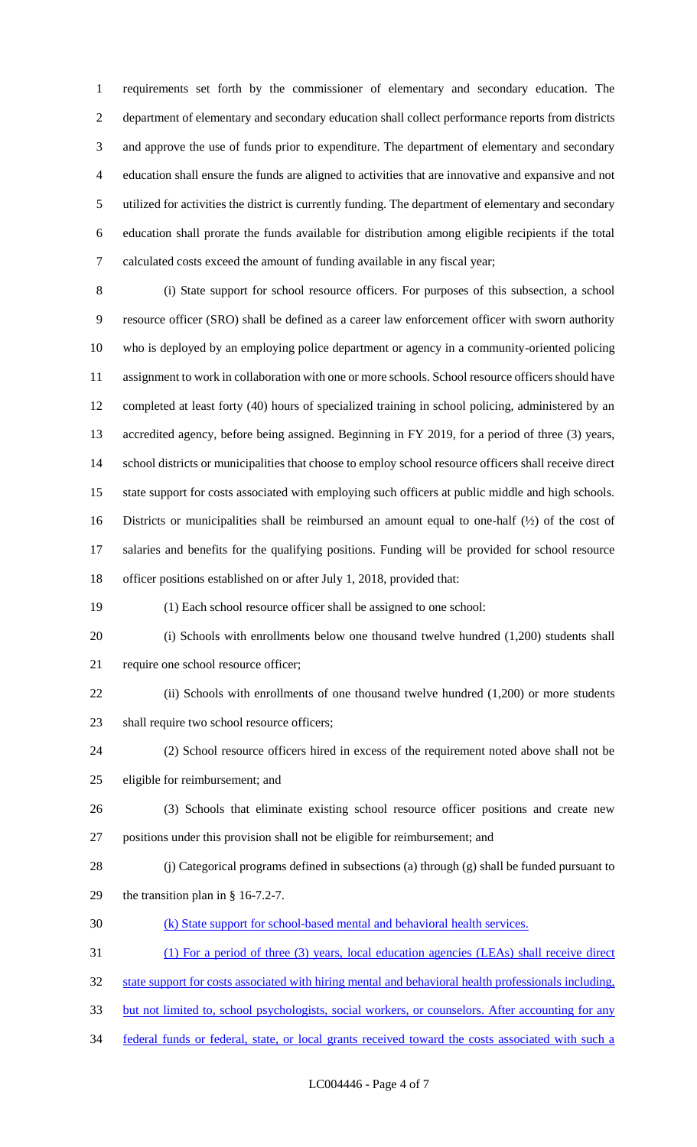requirements set forth by the commissioner of elementary and secondary education. The department of elementary and secondary education shall collect performance reports from districts and approve the use of funds prior to expenditure. The department of elementary and secondary education shall ensure the funds are aligned to activities that are innovative and expansive and not utilized for activities the district is currently funding. The department of elementary and secondary education shall prorate the funds available for distribution among eligible recipients if the total calculated costs exceed the amount of funding available in any fiscal year;

 (i) State support for school resource officers. For purposes of this subsection, a school resource officer (SRO) shall be defined as a career law enforcement officer with sworn authority who is deployed by an employing police department or agency in a community-oriented policing assignment to work in collaboration with one or more schools. School resource officers should have completed at least forty (40) hours of specialized training in school policing, administered by an accredited agency, before being assigned. Beginning in FY 2019, for a period of three (3) years, school districts or municipalities that choose to employ school resource officers shall receive direct state support for costs associated with employing such officers at public middle and high schools. Districts or municipalities shall be reimbursed an amount equal to one-half (½) of the cost of salaries and benefits for the qualifying positions. Funding will be provided for school resource officer positions established on or after July 1, 2018, provided that:

(1) Each school resource officer shall be assigned to one school:

 (i) Schools with enrollments below one thousand twelve hundred (1,200) students shall require one school resource officer;

22 (ii) Schools with enrollments of one thousand twelve hundred (1,200) or more students 23 shall require two school resource officers;

 (2) School resource officers hired in excess of the requirement noted above shall not be eligible for reimbursement; and

- (3) Schools that eliminate existing school resource officer positions and create new positions under this provision shall not be eligible for reimbursement; and
- (j) Categorical programs defined in subsections (a) through (g) shall be funded pursuant to the transition plan in § 16-7.2-7.
- (k) State support for school-based mental and behavioral health services.
- (1) For a period of three (3) years, local education agencies (LEAs) shall receive direct
- state support for costs associated with hiring mental and behavioral health professionals including,
- but not limited to, school psychologists, social workers, or counselors. After accounting for any
- federal funds or federal, state, or local grants received toward the costs associated with such a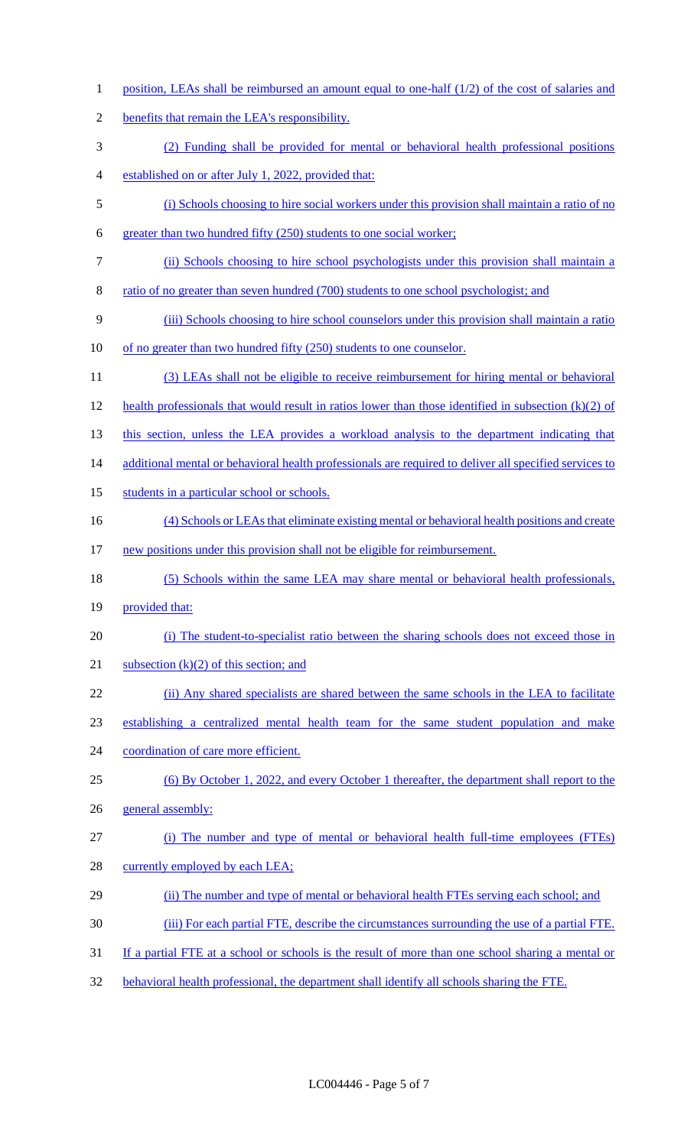- 1 position, LEAs shall be reimbursed an amount equal to one-half (1/2) of the cost of salaries and benefits that remain the LEA's responsibility. (2) Funding shall be provided for mental or behavioral health professional positions established on or after July 1, 2022, provided that: (i) Schools choosing to hire social workers under this provision shall maintain a ratio of no greater than two hundred fifty (250) students to one social worker; (ii) Schools choosing to hire school psychologists under this provision shall maintain a ratio of no greater than seven hundred (700) students to one school psychologist; and (iii) Schools choosing to hire school counselors under this provision shall maintain a ratio of no greater than two hundred fifty (250) students to one counselor. (3) LEAs shall not be eligible to receive reimbursement for hiring mental or behavioral health professionals that would result in ratios lower than those identified in subsection (k)(2) of 13 this section, unless the LEA provides a workload analysis to the department indicating that 14 additional mental or behavioral health professionals are required to deliver all specified services to 15 students in a particular school or schools. (4) Schools or LEAs that eliminate existing mental or behavioral health positions and create 17 new positions under this provision shall not be eligible for reimbursement. 18 (5) Schools within the same LEA may share mental or behavioral health professionals, 19 provided that: (i) The student-to-specialist ratio between the sharing schools does not exceed those in 21 subsection  $(k)(2)$  of this section; and (ii) Any shared specialists are shared between the same schools in the LEA to facilitate establishing a centralized mental health team for the same student population and make 24 coordination of care more efficient. (6) By October 1, 2022, and every October 1 thereafter, the department shall report to the general assembly: (i) The number and type of mental or behavioral health full-time employees (FTEs) 28 currently employed by each LEA; (ii) The number and type of mental or behavioral health FTEs serving each school; and (iii) For each partial FTE, describe the circumstances surrounding the use of a partial FTE. 31 If a partial FTE at a school or schools is the result of more than one school sharing a mental or
- behavioral health professional, the department shall identify all schools sharing the FTE.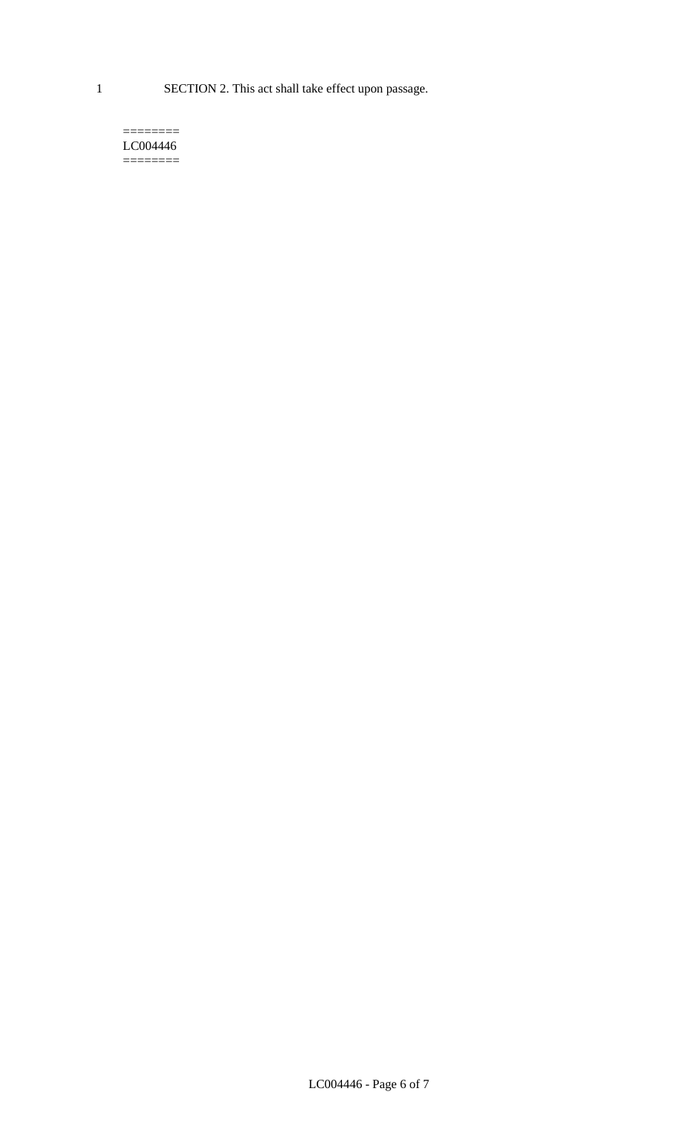1 SECTION 2. This act shall take effect upon passage.

#### $=$ LC004446  $=$